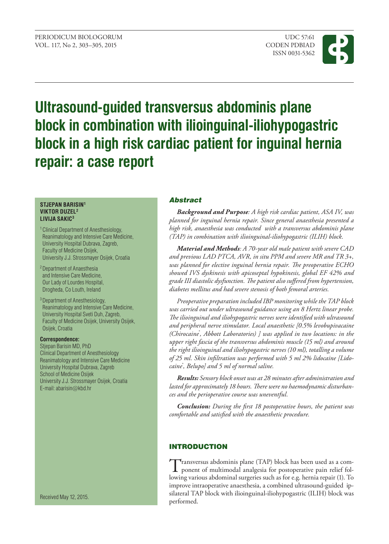

# **Ultrasound-guided transversus abdominis plane block in combination with ilioinguinal-iliohypogastric block in a high risk cardiac patient for inguinal hernia repair: a case report**

#### **STJEPAN BARISIN1 VIKTOR DUZEL2 LIVIJA SAKIC3**

- 1 Clinical Department of Anesthesiology, Reanimatology and Intensive Care Medicine, University Hospital Dubrava, Zagreb, Faculty of Medicine Osijek, University J.J. Strossmayer Osijek, Croatia
- 2 Department of Anaesthesia and Intensive Care Medicine, Our Lady of Lourdes Hospital, Drogheda, Co Louth, Ireland
- 3 Department of Anesthesiology, Reanimatology and Intensive Care Medicine, University Hospital Sveti Duh, Zagreb, Faculty of Medicine Osijek, University Osijek, Osijek, Croatia

### **Correspondence:**

Stjepan Barisin MD, PhD Clinical Department of Anesthesiology Reanimatology and Intensive Care Medicine University Hospital Dubrava, Zagreb School of Medicine Osijek University J.J. Strossmayer Osijek, Croatia E-mail: abarisin@kbd.hr

Received May 12, 2015.

# Abstract

*Background and Purpose: A high risk cardiac patient, ASA IV, was planned for inguinal hernia repair. Since general anaesthesia presented a high risk, anaesthesia was conducted with a transversus abdominis plane (TAP) in combination with ilioinguinal-iliohypogastric (ILIH) block.* 

*Material and Methods: A 70-year old male patient with severe CAD and previous LAD PTCA, AVR, in situ PPM and severe MR and TR 3+, was planned for elective inguinal hernia repair. The preoperative ECHO showed IVS dyskinesis with apicoseptal hypokinesis, global EF 42% and grade III diastolic dysfunction. The patient also suffered from hypertension, diabetes mellitus and had severe stenosis of both femoral arteries.* 

*Preoperative preparation included IBP monitoring while the TAP block was carried out under ultrasound guidance using an 8 Hertz linear probe. The ilioinguinal and iliohypogastric nerves were identified with ultrasound and peripheral nerve stimulator. Local anaesthetic [0.5% levobupivacaine (Chirocaine® , Abbott Laboratories) ] was applied in two locations: in the upper right fascia of the transversus abdominis muscle (15 ml) and around the right ilioinguinal and iliohypogastric nerves (10 ml), totalling a volume of 25 ml. Skin infiltration was performed with 5 ml 2% lidocaine [Lidocaine® , Belupo] and 5 ml of normal saline.* 

*Results: Sensory block onset was at 28 minutes after administration and lasted for approximately 18 hours. There were no haemodynamic disturbances and the perioperative course was uneventful.* 

*Conclusion: During the first 18 postoperative hours, the patient was comfortable and satisfied with the anaesthetic procedure.* 

# **INTRODUCTION**

Transversus abdominis plane (TAP) block has been used as a com-ponent of multimodal analgesia for postoperative pain relief following various abdominal surgeries such as for e.g. hernia repair (1). To improve intraoperative anaesthesia, a combined ultrasound-guided ipsilateral TAP block with ilioinguinal-iliohypogastric (ILIH) block was performed.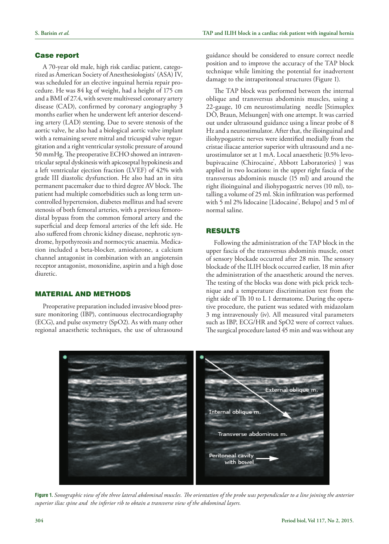#### Case report

A 70-year old male, high risk cardiac patient, categorized as American Society of Anesthesiologists' (ASA) IV, was scheduled for an elective inguinal hernia repair procedure. He was 84 kg of weight, had a height of 175 cm and a BMI of 27.4, with severe multivessel coronary artery disease (CAD), confirmed by coronary angiography 3 months earlier when he underwent left anterior descending artery (LAD) stenting. Due to severe stenosis of the aortic valve, he also had a biological aortic valve implant with a remaining severe mitral and tricuspid valve regurgitation and a right ventricular systolic pressure of around 50 mmHg. The preoperative ECHO showed an intraventricular septal dyskinesis with apicoseptal hypokinesis and a left ventricular ejection fraction (LVEF) of 42% with grade III diastolic dysfunction. He also had an in situ permanent pacemaker due to third degree AV block. The patient had multiple comorbidities such as long term uncontrolled hypertension, diabetes mellitus and had severe stenosis of both femoral arteries, with a previous femorodistal bypass from the common femoral artery and the superficial and deep femoral arteries of the left side. He also suffered from chronic kidney disease, nephrotic syndrome, hypothyreosis and normocytic anaemia. Medication included a beta-blocker, amiodarone, a calcium channel antagonist in combination with an angiotensin receptor antagonist, moxonidine, aspirin and a high dose diuretic.

# Material and methods

Preoperative preparation included invasive blood pressure monitoring (IBP), continuous electrocardiography (ECG), and pulse oxymetry (SpO2). As with many other regional anaesthetic techniques, the use of ultrasound guidance should be considered to ensure correct needle position and to improve the accuracy of the TAP block technique while limiting the potential for inadvertent damage to the intraperitoneal structures (Figure 1).

The TAP block was performed between the internal oblique and transversus abdominis muscles, using a 22-gauge, 10 cm neurostimulating needle [Stimuplex DÒ, Braun, Melsungen] with one attempt. It was carried out under ultrasound guidance using a linear probe of 8 Hz and a neurostimulator. After that, the ilioinguinal and iliohypogastric nerves were identified medially from the cristae iliacae anterior superior with ultrasound and a neurostimulator set at 1 mA. Local anaesthetic [0.5% levobupivacaine (Chirocaine® , Abbott Laboratories) ] was applied in two locations: in the upper right fascia of the transversus abdominis muscle (15 ml) and around the right ilioinguinal and iliohypogastric nerves (10 ml), totalling a volume of 25 ml. Skin infiltration was performed with 5 ml 2% lidocaine [Lidocaine<sup>\*</sup>, Belupo] and 5 ml of normal saline.

# Results

Following the administration of the TAP block in the upper fascia of the transversus abdominis muscle, onset of sensory blockade occurred after 28 min. The sensory blockade of the ILIH block occurred earlier, 18 min after the administration of the anaesthetic around the nerves. The testing of the blocks was done with pick prick technique and a temperature discrimination test from the right side of Th 10 to L 1 dermatome. During the operative procedure, the patient was sedated with midazolam 3 mg intravenously (iv). All measured vital parameters such as IBP, ECG/HR and SpO2 were of correct values. The surgical procedure lasted 45 min and was without any



**Figure 1.** *Sonographic view of the three lateral abdominal muscles. The orientation of the probe was perpendicular to a line joining the anterior superior iliac spine and the inferior rib to obtain a transverse view of the abdominal layers.*